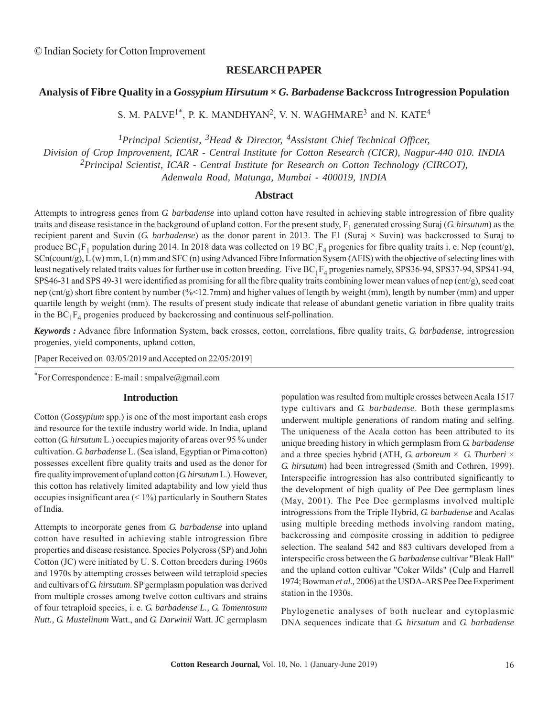## **RESEARCH PAPER**

# **Analysis of Fibre Quality in a** *Gossypium Hirsutum* **×** *G. Barbadense* **Backcross Introgression Population**

S. M. PALVE<sup>1\*</sup>, P. K. MANDHYAN<sup>2</sup>, V. N. WAGHMARE<sup>3</sup> and N. KATE<sup>4</sup>

*1Principal Scientist, 3Head & Director, 4Assistant Chief Technical Officer,*

*Division of Crop Improvement, ICAR - Central Institute for Cotton Research (CICR), Nagpur-440 010. INDIA*

*2Principal Scientist, ICAR - Central Institute for Research on Cotton Technology (CIRCOT),*

*Adenwala Road, Matunga, Mumbai - 400019, INDIA*

## **Abstract**

Attempts to introgress genes from *G. barbadense* into upland cotton have resulted in achieving stable introgression of fibre quality traits and disease resistance in the background of upland cotton. For the present study, F<sub>1</sub> generated crossing Suraj (*G. hirsutum*) as the recipient parent and Suvin (*G. barbadense*) as the donor parent in 2013. The F1 (Suraj × Suvin) was backcrossed to Suraj to produce  $BC_1F_1$  population during 2014. In 2018 data was collected on 19  $BC_1F_4$  progenies for fibre quality traits i. e. Nep (count/g), SCn(count/g), L (w) mm, L (n) mm and SFC (n) using Advanced Fibre Information Sysem (AFIS) with the objective of selecting lines with least negatively related traits values for further use in cotton breeding. Five  $BC_1F_4$  progenies namely, SPS36-94, SPS37-94, SPS41-94, SPS46-31 and SPS 49-31 were identified as promising for all the fibre quality traits combining lower mean values of nep (cnt/g), seed coat nep (cnt/g) short fibre content by number (%<12.7mm) and higher values of length by weight (mm), length by number (mm) and upper quartile length by weight (mm). The results of present study indicate that release of abundant genetic variation in fibre quality traits in the  $BC_1F_4$  progenies produced by backcrossing and continuous self-pollination.

*Keywords :* Advance fibre Information System, back crosses, cotton, correlations, fibre quality traits, *G. barbadense,* introgression progenies, yield components, upland cotton,

[Paper Received on 03/05/2019 and Accepted on 22/05/2019]

\*For Correspondence : E-mail : smpalve@gmail.com

## **Introduction**

Cotton (*Gossypium* spp.) is one of the most important cash crops and resource for the textile industry world wide. In India, upland cotton (*G. hirsutum* L.) occupies majority of areas over 95 % under cultivation. *G. barbadense* L. (Sea island, Egyptian or Pima cotton) possesses excellent fibre quality traits and used as the donor for fire quality improvement of upland cotton (*G. hirsutum* L.). However, this cotton has relatively limited adaptability and low yield thus occupies insignificant area (< 1%) particularly in Southern States of India.

Attempts to incorporate genes from *G. barbadense* into upland cotton have resulted in achieving stable introgression fibre properties and disease resistance. Species Polycross (SP) and John Cotton (JC) were initiated by U. S. Cotton breeders during 1960s and 1970s by attempting crosses between wild tetraploid species and cultivars of *G. hirsutum*. SP germplasm population was derived from multiple crosses among twelve cotton cultivars and strains of four tetraploid species, i. e. *G. barbadense L., G. Tomentosum Nutt., G. Mustelinum* Watt., and *G. Darwinii* Watt. JC germplasm population was resulted from multiple crosses between Acala 1517 type cultivars and *G. barbadense*. Both these germplasms underwent multiple generations of random mating and selfing. The uniqueness of the Acala cotton has been attributed to its unique breeding history in which germplasm from *G. barbadense* and a three species hybrid (ATH, *G. arboreum*  $\times$  *G. Thurberi*  $\times$ *G. hirsutum*) had been introgressed (Smith and Cothren, 1999). Interspecific introgression has also contributed significantly to the development of high quality of Pee Dee germplasm lines (May, 2001). The Pee Dee germplasms involved multiple introgressions from the Triple Hybrid, *G. barbadense* and Acalas using multiple breeding methods involving random mating, backcrossing and composite crossing in addition to pedigree selection. The sealand 542 and 883 cultivars developed from a interspecific cross between the *G. barbadense* cultivar "Bleak Hall" and the upland cotton cultivar "Coker Wilds" (Culp and Harrell 1974; Bowman *et al.,* 2006) at the USDA-ARS Pee Dee Experiment station in the 1930s.

Phylogenetic analyses of both nuclear and cytoplasmic DNA sequences indicate that *G. hirsutum* and *G. barbadense*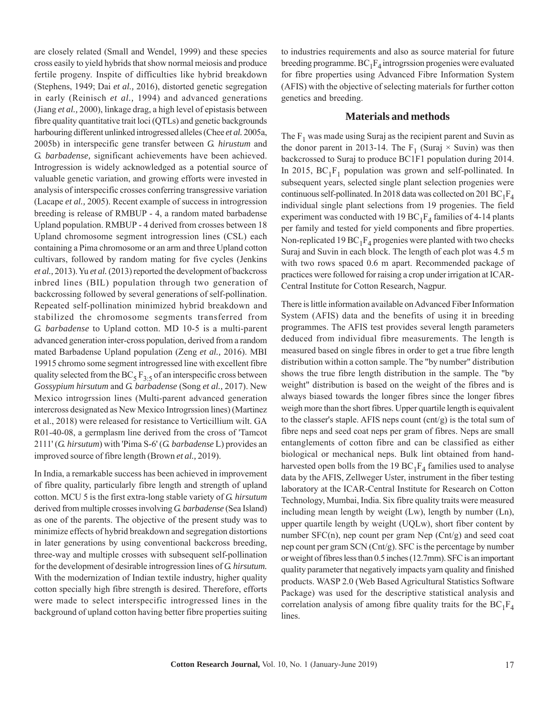are closely related (Small and Wendel, 1999) and these species cross easily to yield hybrids that show normal meiosis and produce fertile progeny. Inspite of difficulties like hybrid breakdown (Stephens, 1949; Dai *et al.,* 2016), distorted genetic segregation in early (Reinisch *et al.,* 1994) and advanced generations (Jiang *et al.,* 2000), linkage drag, a high level of epistasis between fibre quality quantitative trait loci (QTLs) and genetic backgrounds harbouring different unlinked introgressed alleles (Chee *et al.* 2005a, 2005b) in interspecific gene transfer between *G. hirustum* and *G. barbadense,* significant achievements have been achieved. Introgression is widely acknowledged as a potential source of valuable genetic variation, and growing efforts were invested in analysis of interspecific crosses conferring transgressive variation (Lacape *et al.,* 2005). Recent example of success in introgression breeding is release of RMBUP - 4, a random mated barbadense Upland population. RMBUP - 4 derived from crosses between 18 Upland chromosome segment introgression lines (CSL) each containing a Pima chromosome or an arm and three Upland cotton cultivars, followed by random mating for five cycles (Jenkins *et al.,* 2013). Yu *et al.* (2013) reported the development of backcross inbred lines (BIL) population through two generation of backcrossing followed by several generations of self-pollination. Repeated self-pollination minimized hybrid breakdown and stabilized the chromosome segments transferred from *G. barbadense* to Upland cotton. MD 10-5 is a multi-parent advanced generation inter-cross population, derived from a random mated Barbadense Upland population (Zeng *et al.,* 2016). MBI 19915 chromo some segment introgressed line with excellent fibre quality selected from the BC<sub>5</sub> F<sub>3:5</sub> of an interspecific cross between *Gossypium hirsutum* and *G. barbadense* (Song *et al.,* 2017). New Mexico introgrssion lines (Multi-parent advanced generation intercross designated as New Mexico Introgrssion lines) (Martinez et al., 2018) were released for resistance to Verticillium wilt. GA R01-40-08, a germplasm line derived from the cross of 'Tamcot 2111' (*G. hirsutum*) with 'Pima S-6' (*G. barbadense* L) provides an improved source of fibre length (Brown *et al.,* 2019).

In India, a remarkable success has been achieved in improvement of fibre quality, particularly fibre length and strength of upland cotton. MCU 5 is the first extra-long stable variety of *G. hirsutum* derived from multiple crosses involving *G. barbadense* (Sea Island) as one of the parents. The objective of the present study was to minimize effects of hybrid breakdown and segregation distortions in later generations by using conventional backcross breeding, three-way and multiple crosses with subsequent self-pollination for the development of desirable introgression lines of *G. hirsutum.* With the modernization of Indian textile industry, higher quality cotton specially high fibre strength is desired. Therefore, efforts were made to select interspecific introgressed lines in the background of upland cotton having better fibre properties suiting to industries requirements and also as source material for future breeding programme.  $BC_1F_A$  introgrssion progenies were evaluated for fibre properties using Advanced Fibre Information System (AFIS) with the objective of selecting materials for further cotton genetics and breeding.

#### **Materials and methods**

The  $F_1$  was made using Suraj as the recipient parent and Suvin as the donor parent in 2013-14. The  $F_1$  (Suraj  $\times$  Suvin) was then backcrossed to Suraj to produce BC1F1 population during 2014. In 2015,  $BC_1F_1$  population was grown and self-pollinated. In subsequent years, selected single plant selection progenies were continuous self-pollinated. In 2018 data was collected on 201 BC<sub>1</sub>F<sub>4</sub> individual single plant selections from 19 progenies. The field experiment was conducted with 19 BC<sub>1</sub>F<sub>4</sub> families of 4-14 plants per family and tested for yield components and fibre properties. Non-replicated 19 BC<sub>1</sub>F<sub>4</sub> progenies were planted with two checks Suraj and Suvin in each block. The length of each plot was 4.5 m with two rows spaced 0.6 m apart. Recommended package of practices were followed for raising a crop under irrigation at ICAR-Central Institute for Cotton Research, Nagpur.

There is little information available on Advanced Fiber Information System (AFIS) data and the benefits of using it in breeding programmes. The AFIS test provides several length parameters deduced from individual fibre measurements. The length is measured based on single fibres in order to get a true fibre length distribution within a cotton sample. The "by number" distribution shows the true fibre length distribution in the sample. The "by weight" distribution is based on the weight of the fibres and is always biased towards the longer fibres since the longer fibres weigh more than the short fibres. Upper quartile length is equivalent to the classer's staple. AFIS neps count (cnt/g) is the total sum of fibre neps and seed coat neps per gram of fibres. Neps are small entanglements of cotton fibre and can be classified as either biological or mechanical neps. Bulk lint obtained from handharvested open bolls from the 19  $BC_1F_4$  families used to analyse data by the AFIS, Zellweger Uster, instrument in the fiber testing laboratory at the ICAR-Central Institute for Research on Cotton Technology, Mumbai, India. Six fibre quality traits were measured including mean length by weight (Lw), length by number (Ln), upper quartile length by weight (UQLw), short fiber content by number SFC(n), nep count per gram Nep (Cnt/g) and seed coat nep count per gram SCN (Cnt/g). SFC is the percentage by number or weight of fibres less than 0.5 inches (12.7mm). SFC is an important quality parameter that negatively impacts yarn quality and finished products. WASP 2.0 (Web Based Agricultural Statistics Software Package) was used for the descriptive statistical analysis and correlation analysis of among fibre quality traits for the  $BC_1F_4$ lines.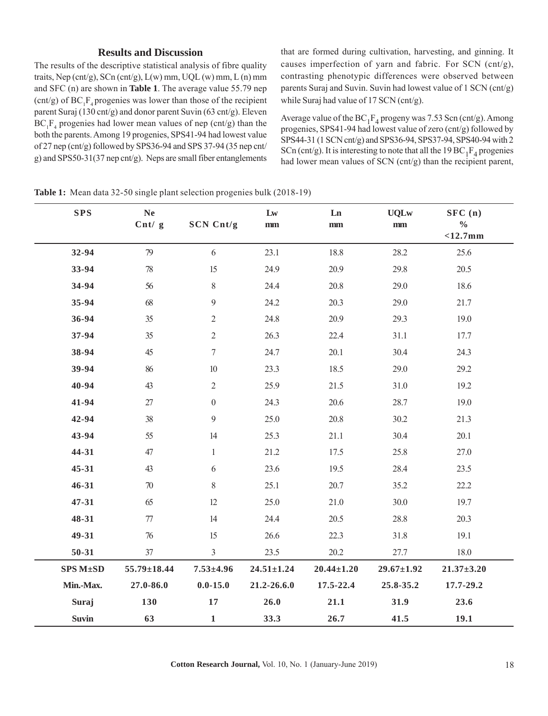# **Results and Discussion**

The results of the descriptive statistical analysis of fibre quality traits, Nep (cnt/g), SCn (cnt/g),  $L(w)$  mm,  $UQL(w)$  mm,  $L(n)$  mm and SFC (n) are shown in **Table 1**. The average value 55.79 nep  $(\text{cnt/g})$  of BC<sub>1</sub>F<sub>4</sub> progenies was lower than those of the recipient parent Suraj (130 cnt/g) and donor parent Suvin (63 cnt/g). Eleven  $BC_1F_4$  progenies had lower mean values of nep (cnt/g) than the both the parents. Among 19 progenies, SPS41-94 had lowest value of 27 nep (cnt/g) followed by SPS36-94 and SPS 37-94 (35 nep cnt/ g) and SPS50-31(37 nep cnt/g). Neps are small fiber entanglements that are formed during cultivation, harvesting, and ginning. It causes imperfection of yarn and fabric. For SCN (cnt/g), contrasting phenotypic differences were observed between parents Suraj and Suvin. Suvin had lowest value of 1 SCN (cnt/g) while Suraj had value of 17 SCN (cnt/g).

Average value of the  $BC_1F_4$  progeny was 7.53 Scn (cnt/g). Among progenies, SPS41-94 had lowest value of zero (cnt/g) followed by SPS44-31 (1 SCN cnt/g) and SPS36-94, SPS37-94, SPS40-94 with 2 SCn (cnt/g). It is interesting to note that all the 19 BC<sub>1</sub>F<sub>4</sub> progenies had lower mean values of SCN (cnt/g) than the recipient parent,

| <b>SPS</b>   | $\bold{Ne}$               |                  | $\mathbf{L}\mathbf{w}$ | Ln               | <b>UQLw</b>      | SFC(n)                      |
|--------------|---------------------------|------------------|------------------------|------------------|------------------|-----------------------------|
|              | $\mathrm{Cnt}/\mathrm{g}$ | SCN Cnt/g        | $\mathbf{mm}$          | mm               | $\mathbf{mm}$    | $\frac{0}{0}$<br>$<$ 12.7mm |
| 32-94        | 79                        | 6                | 23.1                   | 18.8             | 28.2             | 25.6                        |
| 33-94        | $78\,$                    | 15               | 24.9                   | 20.9             | 29.8             | 20.5                        |
| 34-94        | 56                        | $8\,$            | 24.4                   | 20.8             | 29.0             | 18.6                        |
| 35-94        | 68                        | 9                | 24.2                   | 20.3             | 29.0             | 21.7                        |
| 36-94        | $35\,$                    | $\mathbf{2}$     | 24.8                   | 20.9             | 29.3             | 19.0                        |
| 37-94        | 35                        | $\sqrt{2}$       | 26.3                   | 22.4             | 31.1             | 17.7                        |
| 38-94        | 45                        | $\boldsymbol{7}$ | 24.7                   | 20.1             | 30.4             | 24.3                        |
| 39-94        | 86                        | $10\,$           | 23.3                   | 18.5             | 29.0             | 29.2                        |
| 40-94        | 43                        | $\overline{2}$   | 25.9                   | 21.5             | 31.0             | 19.2                        |
| 41-94        | $27\,$                    | $\boldsymbol{0}$ | 24.3                   | 20.6             | 28.7             | 19.0                        |
| 42-94        | 38                        | $\mathfrak{g}$   | 25.0                   | 20.8             | 30.2             | 21.3                        |
| 43-94        | 55                        | 14               | 25.3                   | 21.1             | 30.4             | 20.1                        |
| 44-31        | 47                        | $\mathbf{1}$     | 21.2                   | 17.5             | 25.8             | 27.0                        |
| 45-31        | 43                        | 6                | 23.6                   | 19.5             | 28.4             | 23.5                        |
| $46 - 31$    | $70\,$                    | $8\,$            | 25.1                   | 20.7             | 35.2             | 22.2                        |
| $47 - 31$    | 65                        | 12               | 25.0                   | 21.0             | 30.0             | 19.7                        |
| 48-31        | $77\,$                    | 14               | 24.4                   | 20.5             | 28.8             | 20.3                        |
| 49-31        | $76\,$                    | 15               | 26.6                   | 22.3             | 31.8             | 19.1                        |
| $50 - 31$    | 37                        | $\mathfrak{Z}$   | 23.5                   | 20.2             | 27.7             | 18.0                        |
| SPS M±SD     | 55.79±18.44               | $7.53 \pm 4.96$  | $24.51 \pm 1.24$       | $20.44 \pm 1.20$ | $29.67 \pm 1.92$ | $21.37 + 3.20$              |
| Min.-Max.    | 27.0-86.0                 | $0.0 - 15.0$     | 21.2-26.6.0            | 17.5-22.4        | 25.8-35.2        | 17.7-29.2                   |
| Suraj        | 130                       | $17\,$           | 26.0                   | 21.1             | 31.9             | 23.6                        |
| <b>Suvin</b> | 63                        | $\mathbf 1$      | 33.3                   | 26.7             | 41.5             | 19.1                        |

**Table 1:** Mean data 32-50 single plant selection progenies bulk (2018-19)

**Cotton Research Journal,** Vol. 10, No. 1 (January-June 2019) 18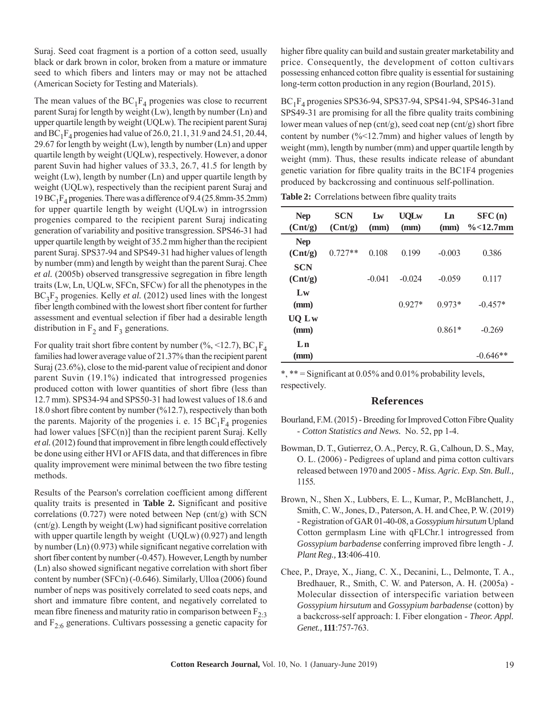Suraj. Seed coat fragment is a portion of a cotton seed, usually black or dark brown in color, broken from a mature or immature seed to which fibers and linters may or may not be attached (American Society for Testing and Materials).

The mean values of the  $BC_1F_4$  progenies was close to recurrent parent Suraj for length by weight (Lw), length by number (Ln) and upper quartile length by weight (UQLw). The recipient parent Suraj and  $BC_1F_4$  progenies had value of 26.0, 21.1, 31.9 and 24.51, 20.44, 29.67 for length by weight  $(Lw)$ , length by number  $(Ln)$  and upper quartile length by weight (UQLw), respectively. However, a donor parent Suvin had higher values of 33.3, 26.7, 41.5 for length by weight (Lw), length by number (Ln) and upper quartile length by weight (UQLw), respectively than the recipient parent Suraj and 19 BC<sub>1</sub>F<sub>4</sub> progenies. There was a difference of 9.4 (25.8mm-35.2mm) for upper quartile length by weight (UQLw) in introgrssion progenies compared to the recipient parent Suraj indicating generation of variability and positive transgression. SPS46-31 had upper quartile length by weight of 35.2 mm higher than the recipient parent Suraj. SPS37-94 and SPS49-31 had higher values of length by number (mm) and length by weight than the parent Suraj. Chee *et al.* (2005b) observed transgressive segregation in fibre length traits (Lw, Ln, UQLw, SFCn, SFCw) for all the phenotypes in the  $BC_2F_2$  progenies. Kelly *et al.* (2012) used lines with the longest fiber length combined with the lowest short fiber content for further assessment and eventual selection if fiber had a desirable length distribution in  $F_2$  and  $F_3$  generations.

For quality trait short fibre content by number (%, <12.7),  $BC_1F_4$ families had lower average value of 21.37% than the recipient parent Suraj (23.6%), close to the mid-parent value of recipient and donor parent Suvin (19.1%) indicated that introgressed progenies produced cotton with lower quantities of short fibre (less than 12.7 mm). SPS34-94 and SPS50-31 had lowest values of 18.6 and 18.0 short fibre content by number (%12.7), respectively than both the parents. Majority of the progenies i. e. 15  $BC_1F_4$  progenies had lower values [SFC(n)] than the recipient parent Suraj. Kelly *et al.* (2012) found that improvement in fibre length could effectively be done using either HVI or AFIS data, and that differences in fibre quality improvement were minimal between the two fibre testing methods.

Results of the Pearson's correlation coefficient among different quality traits is presented in **Table 2.** Significant and positive correlations (0.727) were noted between Nep (cnt/g) with SCN (cnt/g). Length by weight (Lw) had significant positive correlation with upper quartile length by weight (UQLw) (0.927) and length by number (Ln) (0.973) while significant negative correlation with short fiber content by number (-0.457). However, Length by number (Ln) also showed significant negative correlation with short fiber content by number (SFCn) (-0.646). Similarly, Ulloa (2006) found number of neps was positively correlated to seed coats neps, and short and immature fibre content, and negatively correlated to mean fibre fineness and maturity ratio in comparison between  $F_{2,3}$ and  $F_{2.6}$  generations. Cultivars possessing a genetic capacity for

higher fibre quality can build and sustain greater marketability and price. Consequently, the development of cotton cultivars possessing enhanced cotton fibre quality is essential for sustaining long-term cotton production in any region (Bourland, 2015).

 $BC_1F_4$  progenies SPS36-94, SPS37-94, SPS41-94, SPS46-31 and SPS49-31 are promising for all the fibre quality traits combining lower mean values of nep (cnt/g), seed coat nep (cnt/g) short fibre content by number  $(\frac{6}{5} < 12.7$ mm) and higher values of length by weight (mm), length by number (mm) and upper quartile length by weight (mm). Thus, these results indicate release of abundant genetic variation for fibre quality traits in the BC1F4 progenies produced by backcrossing and continuous self-pollination.

Table 2: Correlations between fibre quality traits

| <b>Nep</b><br>$($ Cnt/g $)$ | <b>SCN</b><br>$($ Cnt/g $)$ | Lw<br>(mm) | <b>UOL</b> w<br>(mm) | Ln<br>(mm) | SFC(n)<br>$\%$ < 12.7mm |
|-----------------------------|-----------------------------|------------|----------------------|------------|-------------------------|
| <b>Nep</b><br>$($ Cnt/g $)$ | $0.727**$                   | 0.108      | 0.199                | $-0.003$   | 0.386                   |
| <b>SCN</b><br>$($ Cnt/g $)$ |                             | $-0.041$   | $-0.024$             | $-0.059$   | 0.117                   |
| $L_{\rm W}$<br>(mm)         |                             |            | $0.927*$             | $0.973*$   | $-0.457*$               |
| UO Lw<br>(mm)               |                             |            |                      | $0.861*$   | $-0.269$                |
| Ln<br>(mm)                  |                             |            |                      |            | $-0.646**$              |

\*, \*\* = Significant at 0.05% and 0.01% probability levels, respectively.

### **References**

- Bourland, F.M. (2015) Breeding for Improved Cotton Fibre Quality - *Cotton Statistics and News.* No. 52, pp 1-4.
- Bowman, D. T., Gutierrez, O. A., Percy, R. G., Calhoun, D. S., May, O. L. (2006) - Pedigrees of upland and pima cotton cultivars released between 1970 and 2005 - *Miss. Agric. Exp. Stn. Bull.,* 1155.
- Brown, N., Shen X., Lubbers, E. L., Kumar, P., McBlanchett, J., Smith, C. W., Jones, D., Paterson, A. H. and Chee, P. W. (2019) - Registration of GAR 01-40-08, a *Gossypium hirsutum* Upland Cotton germplasm Line with qFLChr.1 introgressed from *Gossypium barbadense* conferring improved fibre length - *J. Plant Reg.,* **13**:406-410.
- Chee, P., Draye, X., Jiang, C. X., Decanini, L., Delmonte, T. A., Bredhauer, R., Smith, C. W. and Paterson, A. H. (2005a) - Molecular dissection of interspecific variation between *Gossypium hirsutum* and *Gossypium barbadense* (cotton) by a backcross-self approach: I. Fiber elongation - *Theor. Appl. Genet.,* **111**:757-763.